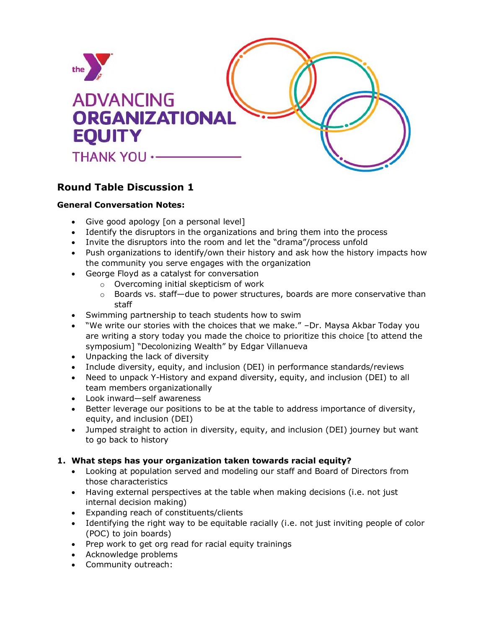

# **Round Table Discussion 1**

## **General Conversation Notes:**

- Give good apology [on a personal level]
- Identify the disruptors in the organizations and bring them into the process
- Invite the disruptors into the room and let the "drama"/process unfold
- Push organizations to identify/own their history and ask how the history impacts how the community you serve engages with the organization
- George Floyd as a catalyst for conversation
	- o Overcoming initial skepticism of work
	- $\circ$  Boards vs. staff—due to power structures, boards are more conservative than staff
- Swimming partnership to teach students how to swim
- "We write our stories with the choices that we make." –Dr. Maysa Akbar Today you are writing a story today you made the choice to prioritize this choice [to attend the symposium] "Decolonizing Wealth" by Edgar Villanueva
- Unpacking the lack of diversity
- Include diversity, equity, and inclusion (DEI) in performance standards/reviews
- Need to unpack Y-History and expand diversity, equity, and inclusion (DEI) to all team members organizationally
- Look inward—self awareness
- Better leverage our positions to be at the table to address importance of diversity, equity, and inclusion (DEI)
- Jumped straight to action in diversity, equity, and inclusion (DEI) journey but want to go back to history

### **1. What steps has your organization taken towards racial equity?**

- Looking at population served and modeling our staff and Board of Directors from those characteristics
- Having external perspectives at the table when making decisions (i.e. not just internal decision making)
- Expanding reach of constituents/clients
- Identifying the right way to be equitable racially (i.e. not just inviting people of color (POC) to join boards)
- Prep work to get org read for racial equity trainings
- Acknowledge problems
- Community outreach: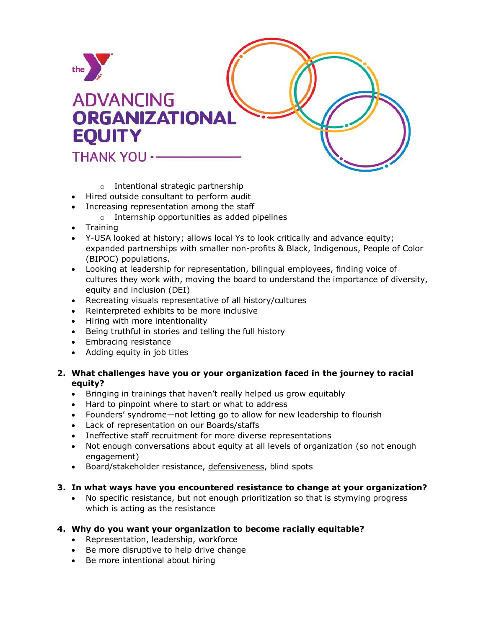

- o Intentional strategic partnership
- Hired outside consultant to perform audit
- Increasing representation among the staff
	- o Internship opportunities as added pipelines
- Training
- Y-USA looked at history; allows local Ys to look critically and advance equity; expanded partnerships with smaller non-profits & Black, Indigenous, People of Color (BIPOC) populations.
- Looking at leadership for representation, bilingual employees, finding voice of cultures they work with, moving the board to understand the importance of diversity, equity and inclusion (DEI)
- Recreating visuals representative of all history/cultures
- Reinterpreted exhibits to be more inclusive
- Hiring with more intentionality
- Being truthful in stories and telling the full history
- Embracing resistance
- Adding equity in job titles
- **2. What challenges have you or your organization faced in the journey to racial equity?** 
	- Bringing in trainings that haven't really helped us grow equitably
	- Hard to pinpoint where to start or what to address
	- Founders' syndrome—not letting go to allow for new leadership to flourish
	- Lack of representation on our Boards/staffs
	- Ineffective staff recruitment for more diverse representations
	- Not enough conversations about equity at all levels of organization (so not enough engagement)
	- Board/stakeholder resistance, defensiveness, blind spots

#### **3. In what ways have you encountered resistance to change at your organization?**

- No specific resistance, but not enough prioritization so that is stymying progress which is acting as the resistance
- **4. Why do you want your organization to become racially equitable?**
	- Representation, leadership, workforce
	- Be more disruptive to help drive change
	- Be more intentional about hiring